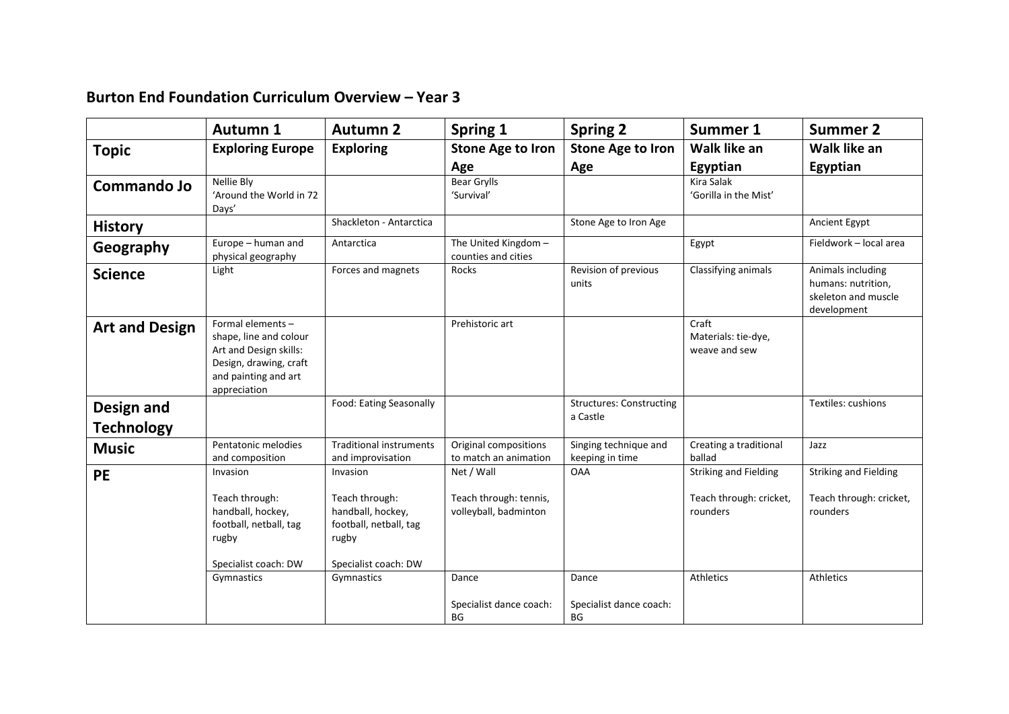## **Burton End Foundation Curriculum Overview – Year 3**

|                       | <b>Autumn 1</b>                                                                                                                         | <b>Autumn 2</b>                                                                                | Spring 1                                        | <b>Spring 2</b>                             | <b>Summer 1</b>                               | <b>Summer 2</b>                                                               |
|-----------------------|-----------------------------------------------------------------------------------------------------------------------------------------|------------------------------------------------------------------------------------------------|-------------------------------------------------|---------------------------------------------|-----------------------------------------------|-------------------------------------------------------------------------------|
| <b>Topic</b>          | <b>Exploring Europe</b>                                                                                                                 | <b>Exploring</b>                                                                               | <b>Stone Age to Iron</b>                        | <b>Stone Age to Iron</b>                    | Walk like an                                  | Walk like an                                                                  |
|                       |                                                                                                                                         |                                                                                                | Age                                             | Age                                         | Egyptian                                      | Egyptian                                                                      |
| <b>Commando Jo</b>    | Nellie Bly<br>'Around the World in 72<br>Days'                                                                                          |                                                                                                | <b>Bear Grylls</b><br>'Survival'                |                                             | Kira Salak<br>'Gorilla in the Mist'           |                                                                               |
| <b>History</b>        |                                                                                                                                         | Shackleton - Antarctica                                                                        |                                                 | Stone Age to Iron Age                       |                                               | Ancient Egypt                                                                 |
| Geography             | Europe - human and<br>physical geography                                                                                                | Antarctica                                                                                     | The United Kingdom -<br>counties and cities     |                                             | Egypt                                         | Fieldwork - local area                                                        |
| <b>Science</b>        | Light                                                                                                                                   | Forces and magnets                                                                             | Rocks                                           | Revision of previous<br>units               | Classifying animals                           | Animals including<br>humans: nutrition,<br>skeleton and muscle<br>development |
| <b>Art and Design</b> | Formal elements -<br>shape, line and colour<br>Art and Design skills:<br>Design, drawing, craft<br>and painting and art<br>appreciation |                                                                                                | Prehistoric art                                 |                                             | Craft<br>Materials: tie-dye,<br>weave and sew |                                                                               |
| Design and            |                                                                                                                                         | Food: Eating Seasonally                                                                        |                                                 | <b>Structures: Constructing</b><br>a Castle |                                               | Textiles: cushions                                                            |
| <b>Technology</b>     |                                                                                                                                         |                                                                                                |                                                 |                                             |                                               |                                                                               |
| <b>Music</b>          | Pentatonic melodies<br>and composition                                                                                                  | <b>Traditional instruments</b><br>and improvisation                                            | Original compositions<br>to match an animation  | Singing technique and<br>keeping in time    | Creating a traditional<br>ballad              | Jazz                                                                          |
| <b>PE</b>             | Invasion                                                                                                                                | Invasion                                                                                       | Net / Wall                                      | <b>OAA</b>                                  | <b>Striking and Fielding</b>                  | <b>Striking and Fielding</b>                                                  |
|                       | Teach through:<br>handball, hockey,<br>football, netball, tag<br>rugby<br>Specialist coach: DW                                          | Teach through:<br>handball, hockey,<br>football, netball, tag<br>rugby<br>Specialist coach: DW | Teach through: tennis,<br>volleyball, badminton |                                             | Teach through: cricket,<br>rounders           | Teach through: cricket,<br>rounders                                           |
|                       | Gymnastics                                                                                                                              | Gymnastics                                                                                     | Dance                                           | Dance                                       | Athletics                                     | Athletics                                                                     |
|                       |                                                                                                                                         |                                                                                                | Specialist dance coach:<br><b>BG</b>            | Specialist dance coach:<br>BG               |                                               |                                                                               |